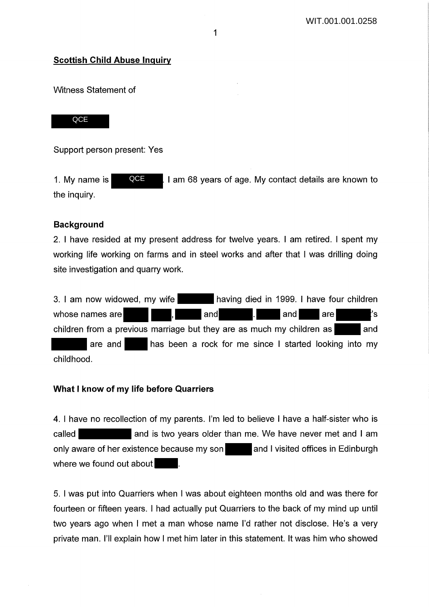## **Scottish Child Abuse Inquiry**

Witness Statement of

**QCE** 

Support person present: Yes

1. My name is  $\blacksquare$   $\blacksquare$   $\blacksquare$  am 68 years of age. My contact details are known to the inquiry. **QCE** 

## **Background**

2. I have resided at my present address for twelve years. I am retired. I spent my working life working on farms and in steel works and after that I was drilling doing site investigation and quarry work.

3. I am now widowed, my wife having died in 1999. I have four children whose names are  $\blacksquare$ , and  $\blacksquare$  and are 's and are 's children from a previous marriage but they are as much my children as  $\blacksquare$  and are and has been a rock for me since I started looking into my childhood.

## **What I know of my life before Quarriers**

4. I have no recollection of my parents. I'm led to believe I have a half-sister who is called **and is two years older than me. We have never met and I am** only aware of her existence because my son and I visited offices in Edinburgh where we found out about

5. I was put into Quarriers when I was about eighteen months old and was there for fourteen or fifteen years. I had actually put Quarriers to the back of my mind up until two years ago when I met a man whose name I'd rather not disclose. He's a very private man. I'll explain how I met him later in this statement. It was him who showed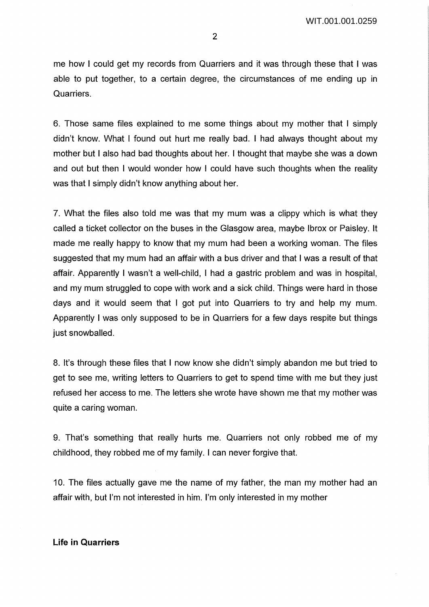me how I could get my records from Quarriers and it was through these that I was able to put together, to a certain degree, the circumstances of me ending up in Quarriers.

6. Those same files explained to me some things about my mother that I simply didn't know. What I found out hurt me really bad. I had always thought about my mother but I also had bad thoughts about her. I thought that maybe she was a down and out but then I would wonder how I could have such thoughts when the reality was that I simply didn't know anything about her.

7. What the files also told me was that my mum was a dippy which is what they called a ticket collector on the buses in the Glasgow area, maybe lbrox or Paisley. It made me really happy to know that my mum had been a working woman. The files suggested that my mum had an affair with a bus driver and that I was a result of that affair. Apparently I wasn't a well-child, I had a gastric problem and was in hospital, and my mum struggled to cope with work and a sick child. Things were hard in those days and it would seem that I got put into Quarriers to try and help my mum. Apparently I was only supposed to be in Quarriers for a few days respite but things just snowballed.

8. It's through these files that I now know she didn't simply abandon me but tried to get to see me, writing letters to Quarriers to get to spend time with me but they just refused her access to me. The letters she wrote have shown me that my mother was quite a caring woman.

9. That's something that really hurts me. Quarriers not only robbed me of my childhood, they robbed me of my family. I can never forgive that.

10. The files actually gave me the name of my father, the man my mother had an affair with, but I'm not interested in him. I'm only interested in my mother

#### **Life in Quarriers**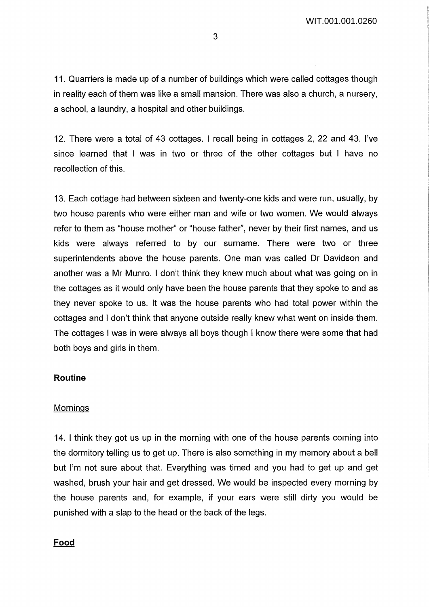11. Quarriers is made up of a number of buildings which were called cottages though in reality each of them was like a small mansion. There was also a church, a nursery, a school, a laundry, a hospital and other buildings.

12. There were a total of 43 cottages. I recall being in cottages 2, 22 and 43. I've since learned that I was in two or three of the other cottages but I have no recollection of this.

13. Each cottage had between sixteen and twenty-one kids and were run, usually, by two house parents who were either man and wife or two women. We would always refer to them as "house mother" or "house father", never by their first names, and us kids were always referred to by our surname. There were two or three superintendents above the house parents. One man was called Dr Davidson and another was a Mr Munro. I don't think they knew much about what was going on in the cottages as it would only have been the house parents that they spoke to and as they never spoke to us. It was the house parents who had total power within the cottages and I don't think that anyone outside really knew what went on inside them. The cottages I was in were always all boys though I know there were some that had both boys and girls in them.

## **Routine**

### Mornings

14. I think they got us up in the morning with one of the house parents coming into the dormitory telling us to get up. There is also something in my memory about a bell but I'm not sure about that. Everything was timed and you had to get up and get washed, brush your hair and get dressed. We would be inspected every morning by the house parents and, for example, if your ears were still dirty you would be punished with a slap to the head or the back of the legs.

## Food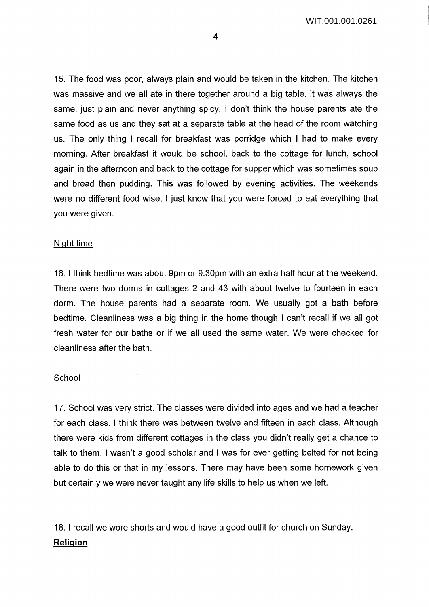WIT.001.001.0261

15. The food was poor, always plain and would be taken in the kitchen. The kitchen was massive and we all ate in there together around a big table. It was always the same, just plain and never anything spicy. I don't think the house parents ate the same food as us and they sat at a separate table at the head of the room watching us. The only thing I recall for breakfast was porridge which I had to make every morning. After breakfast it would be school, back to the cottage for lunch, school again in the afternoon and back to the cottage for supper which was sometimes soup and bread then pudding. This was followed by evening activities. The weekends were no different food wise, I just know that you were forced to eat everything that you were given.

#### Night time

16. I think bedtime was about 9pm or 9:30pm with an extra half hour at the weekend. There were two dorms in cottages 2 and 43 with about twelve to fourteen in each dorm. The house parents had a separate room. We usually got a bath before bedtime. Cleanliness was a big thing in the home though I can't recall if we all got fresh water for our baths or if we all used the same water. We were checked for cleanliness after the bath.

#### **School**

17. School was very strict. The classes were divided into ages and we had a teacher for each class. I think there was between twelve and fifteen in each class. Although there were kids from different cottages in the class you didn't really get a chance to talk to them. I wasn't a good scholar and I was for ever getting belted for not being able to do this or that in my lessons. There may have been some homework given but certainly we were never taught any life skills to help us when we left.

18. I recall we wore shorts and would have a good outfit for church on Sunday.

## **Religion**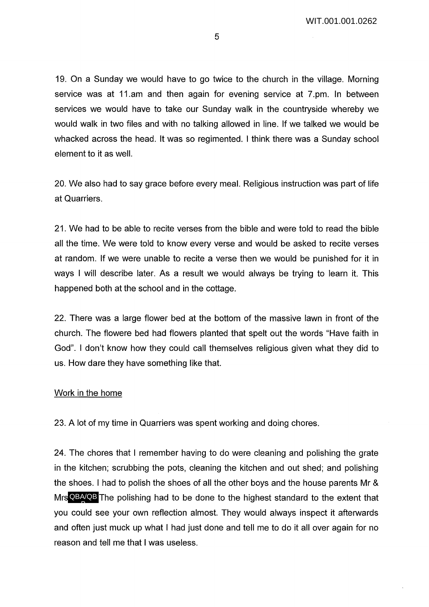19. On a Sunday we would have to go twice to the church in the village. Morning service was at 11.am and then again for evening service at 7.pm. In between services we would have to take our Sunday walk in the countryside whereby we would walk in two files and with no talking allowed in line. If we talked we would be whacked across the head. It was so regimented. I think there was a Sunday school element to it as well.

20. We also had to say grace before every meal. Religious instruction was part of life at Quarriers.

21. We had to be able to recite verses from the bible and were told to read the bible all the time. We were told to know every verse and would be asked to recite verses at random. If we were unable to recite a verse then we would be punished for it in ways I will describe later. As a result we would always be trying to learn it. This happened both at the school and in the cottage.

22. There was a large flower bed at the bottom of the massive lawn in front of the church. The flowere bed had flowers planted that spelt out the words "Have faith in God". I don't know how they could call themselves religious given what they did to us. How dare they have something like that.

## Work in the home

23. A lot of my time in Quarriers was spent working and doing chores.

24. The chores that I remember having to do were cleaning and polishing the grate in the kitchen; scrubbing the pots, cleaning the kitchen and out shed; and polishing the shoes. I had to polish the shoes of all the other boys and the house parents Mr & Mrs QBA/QB The polishing had to be done to the highest standard to the extent that you could see your own reflection almost. They would always inspect it afterwards and often just muck up what I had just done and tell me to do it all over again for no reason and tell me that I was useless. B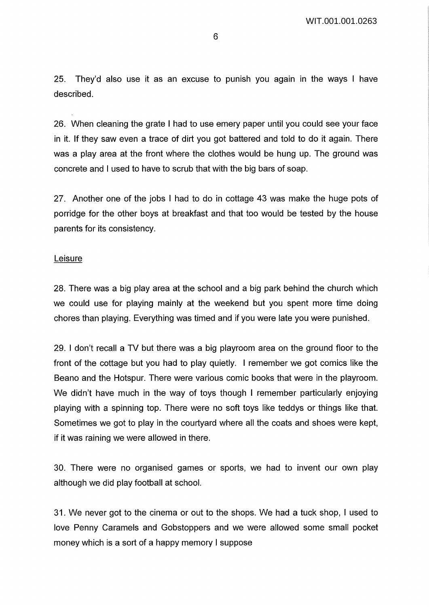25. They'd also use it as an excuse to punish you again in the ways I have described.

26. When cleaning the grate I had to use emery paper until you could see your face in it. If they saw even a trace of dirt you got battered and told to do it again. There was a play area at the front where the clothes would be hung up. The ground was concrete and I used to have to scrub that with the big bars of soap.

27. Another one of the jobs I had to do in cottage 43 was make the huge pots of porridge for the other boys at breakfast and that too would be tested by the house parents for its consistency.

### Leisure

28. There was a big play area at the school and a big park behind the church which we could use for playing mainly at the weekend but you spent more time doing chores than playing. Everything was timed and if you were late you were punished.

29. I don't recall a TV but there was a big playroom area on the ground floor to the front of the cottage but you had to play quietly. I remember we got comics like the Beano and the Hotspur. There were various comic books that were in the playroom. We didn't have much in the way of toys though I remember particularly enjoying playing with a spinning top. There were no soft toys like teddys or things like that. Sometimes we got to play in the courtyard where all the coats and shoes were kept, if it was raining we were allowed in there.

30. There were no organised games or sports, we had to invent our own play although we did play football at school.

31. We never got to the cinema or out to the shops. We had a tuck shop, I used to love Penny Caramels and Gobstoppers and we were allowed some small pocket money which is a sort of a happy memory I suppose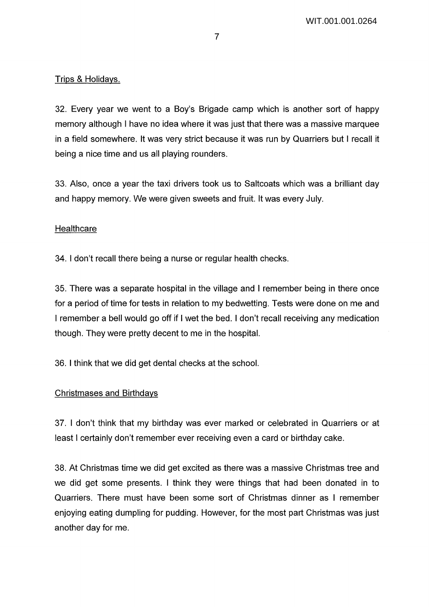# Trips & Holidays.

32. Every year we went to a Boy's Brigade camp which is another sort of happy memory although I have no idea where it was just that there was a massive marquee in a field somewhere. It was very strict because it was run by Quarriers but I recall it being a nice time and us all playing rounders.

33. Also, once a year the taxi drivers took us to Saltcoats which was a brilliant day and happy memory. We were given sweets and fruit. It was every July.

## **Healthcare**

34. I don't recall there being a nurse or regular health checks.

35. There was a separate hospital in the village and I remember being in there once for a period of time for tests in relation to my bedwetting. Tests were done on me and I remember a bell would go off if I wet the bed. I don't recall receiving any medication though. They were pretty decent to me in the hospital.

36. I think that we did get dental checks at the school.

### Christmases and Birthdays

37. I don't think that my birthday was ever marked or celebrated in Quarriers or at least I certainly don't remember ever receiving even a card or birthday cake.

38. At Christmas time we did get excited as there was a massive Christmas tree and we did get some presents. I think they were things that had been donated in to Quarriers. There must have been some sort of Christmas dinner as I remember enjoying eating dumpling for pudding. However, for the most part Christmas was just another day for me.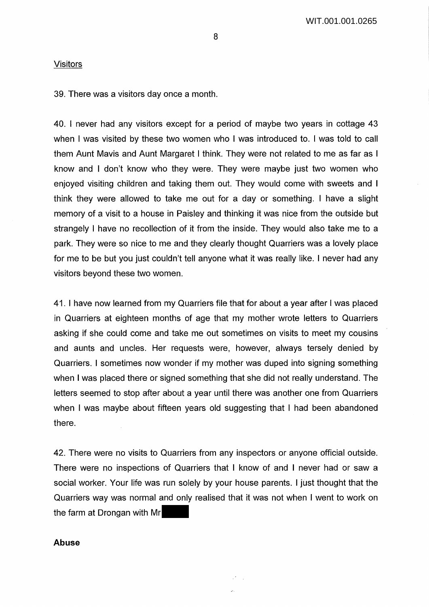#### Visitors

39. There was a visitors day once a month.

40. I never had any visitors except for a period of maybe two years in cottage 43 when I was visited by these two women who I was introduced to. I was told to call them Aunt Mavis and Aunt Margaret I think. They were not related to me as far as I know and I don't know who they were. They were maybe just two women who enjoyed visiting children and taking them out. They would come with sweets and I think they were allowed to take me out for a day or something. I have a slight memory of a visit to a house in Paisley and thinking it was nice from the outside but strangely I have no recollection of it from the inside. They would also take me to a park. They were so nice to me and they clearly thought Quarriers was a lovely place for me to be but you just couldn't tell anyone what it was really like. I never had any visitors beyond these two women.

41. I have now learned from my Quarriers file that for about a year after I was placed in Quarriers at eighteen months of age that my mother wrote letters to Quarriers asking if she could come and take me out sometimes on visits to meet my cousins and aunts and uncles. Her requests were, however, always tersely denied by Quarriers. I sometimes now wonder if my mother was duped into signing something when I was placed there or signed something that she did not really understand. The letters seemed to stop after about a year until there was another one from Quarriers when I was maybe about fifteen years old suggesting that I had been abandoned there.

42. There were no visits to Quarriers from any inspectors or anyone official outside. There were no inspections of Quarriers that I know of and I never had or saw a social worker. Your life was run solely by your house parents. I just thought that the Quarriers way was normal and only realised that it was not when I went to work on the farm at Drongan with Mr

#### **Abuse**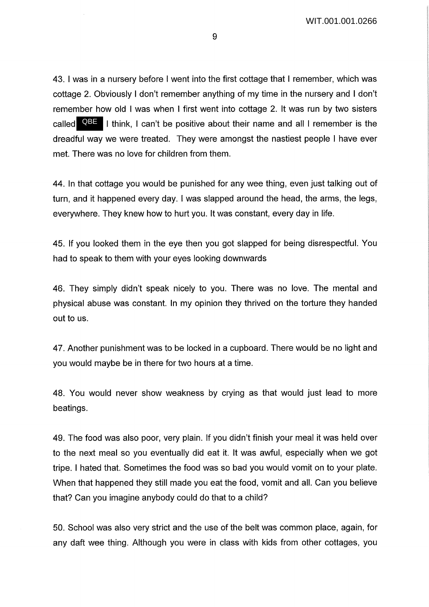43. I was in a nursery before I went into the first cottage that I remember, which was cottage 2. Obviously I don't remember anything of my time in the nursery and I don't remember how old I was when I first went into cottage 2. It was run by two sisters called **QBE** I think, I can't be positive about their name and all I remember is the dreadful way we were treated. They were amongst the nastiest people I have ever met. There was no love for children from them.

44. In that cottage you would be punished for any wee thing, even just talking out of turn, and it happened every day. I was slapped around the head, the arms, the legs, everywhere. They knew how to hurt you. It was constant, every day in life.

45. If you looked them in the eye then you got slapped for being disrespectful. You had to speak to them with your eyes looking downwards

46. They simply didn't speak nicely to you. There was no love. The mental and physical abuse was constant. In my opinion they thrived on the torture they handed out to us.

47. Another punishment was to be locked in a cupboard. There would be no light and you would maybe be in there for two hours at a time.

48. You would never show weakness by crying as that would just lead to more beatings.

49. The food was also poor, very plain. If you didn't finish your meal it was held over to the next meal so you eventually did eat it. It was awful, especially when we got tripe. I hated that. Sometimes the food was so bad you would vomit on to your plate. When that happened they still made you eat the food, vomit and all. Can you believe that? Can you imagine anybody could do that to a child?

50. School was also very strict and the use of the belt was common place, again, for any daft wee thing. Although you were in class with kids from other cottages, you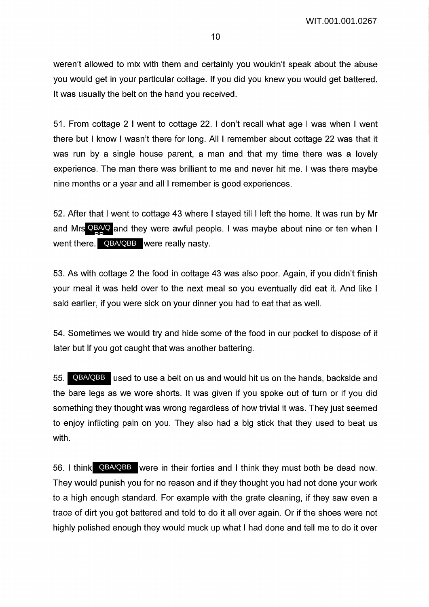weren't allowed to mix with them and certainly you wouldn't speak about the abuse you would get in your particular cottage. If you did you knew you would get battered. It was usually the belt on the hand you received.

51. From cottage 2 I went to cottage 22. I don't recall what age I was when I went there but I know I wasn't there for long. All I remember about cottage 22 was that it was run by a single house parent, a man and that my time there was a lovely experience. The man there was brilliant to me and never hit me. I was there maybe nine months or a year and all I remember is good experiences.

52. After that I went to cottage 43 where I stayed till I left the home. It was run by Mr and Mrs QBA/Q and they were awful people. I was maybe about nine or ten when I went there. QBA/QBB were really nasty. BB

53. As with cottage 2 the food in cottage 43 was also poor. Again, if you didn't finish your meal it was held over to the next meal so you eventually did eat it. And like I said earlier, if you were sick on your dinner you had to eat that as well.

54. Sometimes we would try and hide some of the food in our pocket to dispose of it later but if you got caught that was another battering.

55. QBA/QBB used to use a belt on us and would hit us on the hands, backside and the bare legs as we wore shorts. It was given if you spoke out of turn or if you did something they thought was wrong regardless of how trivial it was. They just seemed to enjoy inflicting pain on you. They also had a big stick that they used to beat us with.

56. I think QBA/QBB were in their forties and I think they must both be dead now. They would punish you for no reason and if they thought you had not done your work to a high enough standard. For example with the grate cleaning, if they saw even a trace of dirt you got battered and told to do it all over again. Or if the shoes were not highly polished enough they would muck up what I had done and tell me to do it over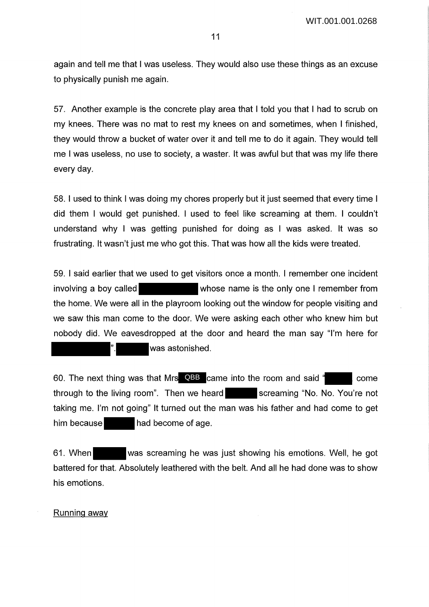again and tell me that I was useless. They would also use these things as an excuse to physically punish me again.

57. Another example is the concrete play area that I told you that I had to scrub on my knees. There was no mat to rest my knees on and sometimes, when I finished, they would throw a bucket of water over it and tell me to do it again. They would tell me I was useless, no use to society, a waster. It was awful but that was my life there every day.

58. I used to think I was doing my chores properly but it just seemed that every time I did them I would get punished. I used to feel like screaming at them. I couldn't understand why I was getting punished for doing as I was asked. It was so frustrating. It wasn't just me who got this. That was how all the kids were treated.

59. I said earlier that we used to get visitors once a month. I remember one incident involving a boy called whose name is the only one I remember from the home. We were all in the playroom looking out the window for people visiting and we saw this man come to the door. We were asking each other who knew him but nobody did. We eavesdropped at the door and heard the man say "I'm here for was astonished.

60. The next thing was that Mrs QBB came into the room and said " The come through to the living room". Then we heard screaming "No. No. You're not taking me. I'm not going" It turned out the man was his father and had come to get him because **had become of age.** 

61. When was screaming he was just showing his emotions. Well, he got battered for that. Absolutely leathered with the belt. And all he had done was to show his emotions.

#### Running away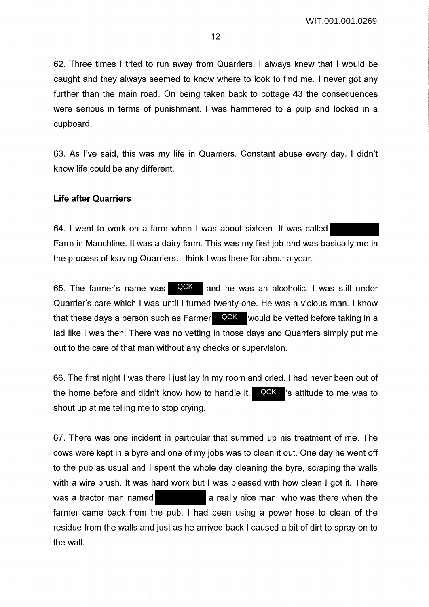62. Three times I tried to run away from Quarriers. I always knew that I would be caught and they always seemed to know where to look to find me. I never got any further than the main road. On being taken back to cottage 43 the consequences were serious in terms of punishment. I was hammered to a pulp and locked in a cupboard.

63. As I've said, this was my life in Quarriers. Constant abuse every day. I didn't know life could be any different.

### **Life after Quarriers**

64. I went to work on a farm when I was about sixteen. It was called Farm in Mauchline. It was a dairy farm. This was my first job and was basically me in the process of leaving Quarriers. I think I was there for about a year.

and he was an alcoholic. I was still under Quarrier's care which I was until I turned twenty-one. He was a vicious man. I know that these days a person such as Farmer  $\left\vert \mathbb{Q} \mathsf{CK} \right\vert$  would be vetted before taking in a lad like I was then. There was no vetting in those days and Quarriers simply put me out to the care of that man without any checks or supervision. 65. The farmer's name was QCK

66. The first night I was there I just lay in my room and cried. I had never been out of the home before and didn't know how to handle it.  $\blacksquare$   $\blacksquare$   $\blacksquare$   $\blacksquare$  s attitude to me was to shout up at me telling me to stop crying. QCK

67. There was one incident in particular that summed up his treatment of me. The cows were kept in a byre and one of my jobs was to clean it out. One day he went off to the pub as usual and I spent the whole day cleaning the byre, scraping the walls with a wire brush. It was hard work but I was pleased with how clean I got it. There was a tractor man named **a** a really nice man, who was there when the farmer came back from the pub. I had been using a power hose to clean of the residue from the walls and just as he arrived back I caused a bit of dirt to spray on to the wall.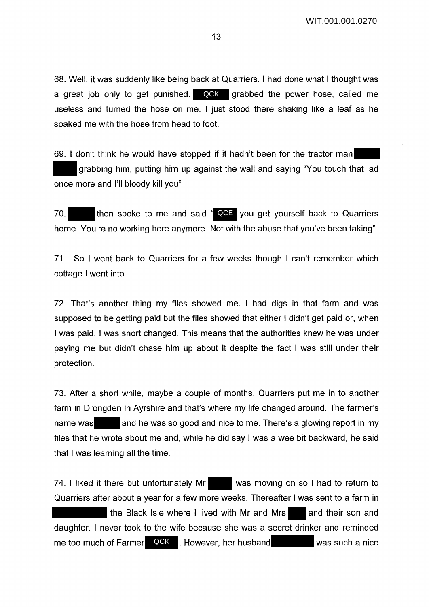68. Well, it was suddenly like being back at Quarriers. I had done what I thought was a great job only to get punished. **QCK** grabbed the power hose, called me useless and turned the hose on me. I just stood there shaking like a leaf as he soaked me with the hose from head to foot.

69. I don't think he would have stopped if it hadn't been for the tractor man grabbing him, putting him up against the wall and saying "You touch that lad once more and I'll bloody kill you"

70. **then spoke to me and said " QCE** you get yourself back to Quarriers home. You're no working here anymore. Not with the abuse that you've been taking".

71. So I went back to Quarriers for a few weeks though I can't remember which cottage I went into.

72. That's another thing my files showed me. I had digs in that farm and was supposed to be getting paid but the files showed that either I didn't get paid or, when I was paid, I was short changed. This means that the authorities knew he was under paying me but didn't chase him up about it despite the fact I was still under their protection.

73. After a short while, maybe a couple of months, Quarriers put me in to another farm in Drongden in Ayrshire and that's where my life changed around. The farmer's name was and he was so good and nice to me. There's a glowing report in my files that he wrote about me and, while he did say I was a wee bit backward, he said that I was learning all the time.

74. I liked it there but unfortunately Mr was moving on so I had to return to Quarriers after about a year for a few more weeks. Thereafter I was sent to a farm in the Black Isle where I lived with Mr and Mrs  $\Box$  and their son and daughter. I never took to the wife because she was a secret drinker and reminded me too much of Farmer QCK L. However, her husband was such a nice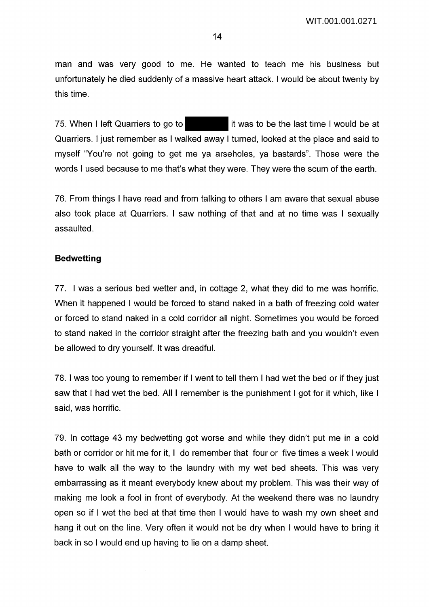man and was very good to me. He wanted to teach me his business but unfortunately he died suddenly of a massive heart attack. I would be about twenty by this time.

75. When I left Quarriers to go to it was to be the last time I would be at Quarriers. I just remember as I walked away I turned, looked at the place and said to myself "You're not going to get me ya arseholes, ya bastards". Those were the words I used because to me that's what they were. They were the scum of the earth.

76. From things I have read and from talking to others I am aware that sexual abuse also took place at Quarriers. I saw nothing of that and at no time was I sexually assaulted.

### **Bedwetting**

77. I was a serious bed wetter and, in cottage 2, what they did to me was horrific. When it happened I would be forced to stand naked in a bath of freezing cold water or forced to stand naked in a cold corridor all night. Sometimes you would be forced to stand naked in the corridor straight after the freezing bath and you wouldn't even be allowed to dry yourself. It was dreadful.

78. I was too young to remember if I went to tell them I had wet the bed or if they just saw that I had wet the bed. All I remember is the punishment I got for it which, like I said, was horrific.

79. In cottage 43 my bedwetting got worse and while they didn't put me in a cold bath or corridor or hit me for it, I do remember that four or five times a week I would have to walk all the way to the laundry with my wet bed sheets. This was very embarrassing as it meant everybody knew about my problem. This was their way of making me look a fool in front of everybody. At the weekend there was no laundry open so if I wet the bed at that time then I would have to wash my own sheet and hang it out on the line. Very often it would not be dry when I would have to bring it back in so I would end up having to lie on a damp sheet.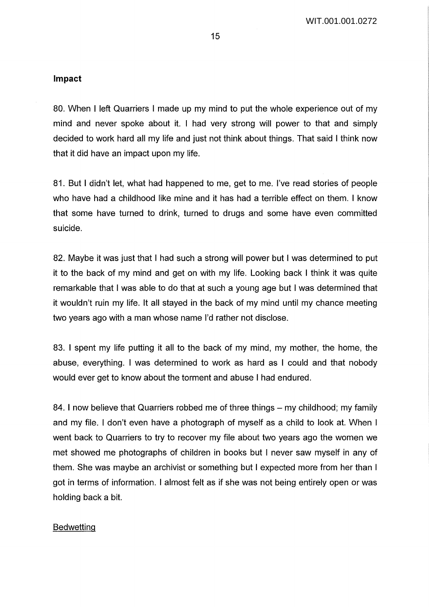## **Impact**

80. When I left Quarriers I made up my mind to put the whole experience out of my mind and never spoke about it. I had very strong will power to that and simply decided to work hard all my life and just not think about things. That said I think now that it did have an impact upon my life.

81. But I didn't let, what had happened to me, get to me. I've read stories of people who have had a childhood like mine and it has had a terrible effect on them. I know that some have turned to drink, turned to drugs and some have even committed suicide.

82. Maybe it was just that I had such a strong will power but I was determined to put it to the back of my mind and get on with my life. Looking back I think it was quite remarkable that I was able to do that at such a young age but I was determined that it wouldn't ruin my life. It all stayed in the back of my mind until my chance meeting two years ago with a man whose name I'd rather not disclose.

83. I spent my life putting it all to the back of my mind, my mother, the home, the abuse, everything. I was determined to work as hard as I could and that nobody would ever get to know about the torment and abuse I had endured.

84. I now believe that Quarriers robbed me of three things – my childhood; my family and my file. I don't even have a photograph of myself as a child to look at. When I went back to Quarriers to try to recover my file about two years ago the women we met showed me photographs of children in books but I never saw myself in any of them. She was maybe an archivist or something but I expected more from her than I got in terms of information. I almost felt as if she was not being entirely open or was holding back a bit.

### **Bedwetting**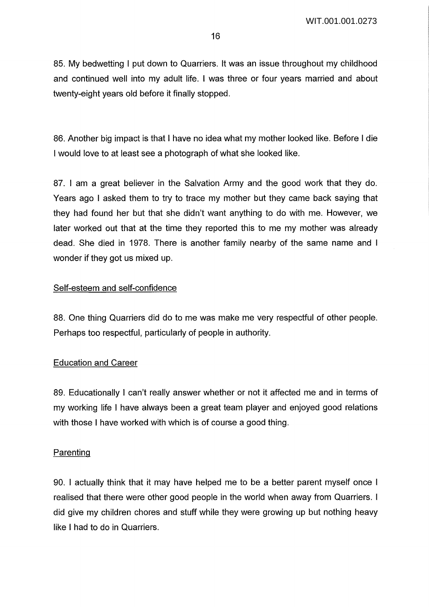85. My bedwetting I put down to Quarriers. It was an issue throughout my childhood and continued well into my adult life. I was three or four years married and about twenty-eight years old before it finally stopped.

86. Another big impact is that I have no idea what my mother looked like. Before I die I would love to at least see a photograph of what she looked like.

87. I am a great believer in the Salvation Army and the good work that they do. Years ago I asked them to try to trace my mother but they came back saying that they had found her but that she didn't want anything to do with me. However, we later worked out that at the time they reported this to me my mother was already dead. She died in 1978. There is another family nearby of the same name and I wonder if they got us mixed up.

## Self-esteem and self-confidence

88. One thing Quarriers did do to me was make me very respectful of other people. Perhaps too respectful, particularly of people in authority.

## Education and Career

89. Educationally I can't really answer whether or not it affected me and in terms of my working life I have always been a great team player and enjoyed good relations with those I have worked with which is of course a good thing.

## Parenting

90. I actually think that it may have helped me to be a better parent myself once I realised that there were other good people in the world when away from Quarriers. I did give my children chores and stuff while they were growing up but nothing heavy like I had to do in Quarriers.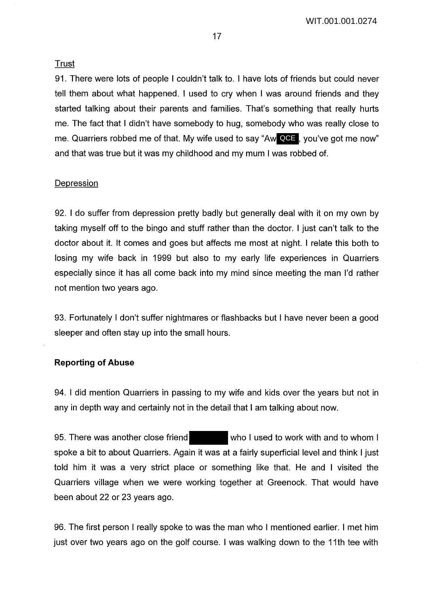### Trust

91. There were lots of people I couldn't talk to. I have lots of friends but could never tell them about what happened. I used to cry when I was around friends and they started talking about their parents and families. That's something that really hurts me. The fact that I didn't have somebody to hug, somebody who was really close to me. Quarriers robbed me of that. My wife used to say "Aw **QCE** , you've got me now" and that was true but it was my childhood and my mum I was robbed of.

### **Depression**

92. I do suffer from depression pretty badly but generally deal with it on my own by taking myself off to the bingo and stuff rather than the doctor. I just can't talk to the doctor about it. It comes and goes but affects me most at night. I relate this both to losing my wife back in 1999 but also to my early life experiences in Quarriers especially since it has all come back into my mind since meeting the man I'd rather not mention two years ago.

93. Fortunately I don't suffer nightmares or flashbacks but I have never been a good sleeper and often stay up into the small hours.

## **Reporting of Abuse**

94. I did mention Quarriers in passing to my wife and kids over the years but not in any in depth way and certainly not in the detail that I am talking about now.

95. There was another close friend who I used to work with and to whom I spoke a bit to about Quarriers. Again it was at a fairly superficial level and think I just told him it was a very strict place or something like that. He and I visited the Quarriers village when we were working together at Greenock. That would have been about 22 or 23 years ago.

96. The first person I really spoke to was the man who I mentioned earlier. I met him just over two years ago on the golf course. I was walking down to the 11th tee with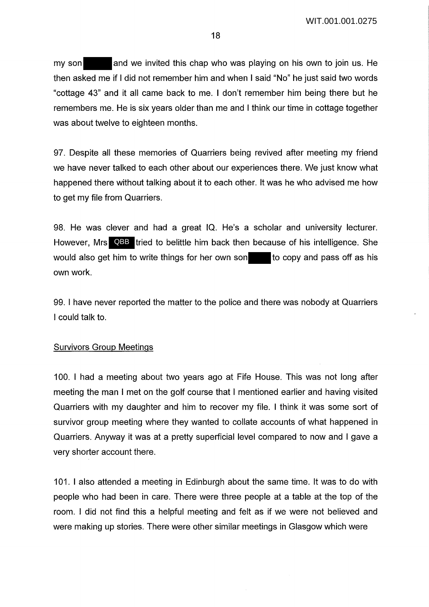my son and we invited this chap who was playing on his own to join us. He then asked me if I did not remember him and when I said "No" he just said two words "cottage 43" and it all came back to me. I don't remember him being there but he remembers me. He is six years older than me and I think our time in cottage together was about twelve to eighteen months.

97. Despite all these memories of Quarriers being revived after meeting my friend we have never talked to each other about our experiences there. We just know what happened there without talking about it to each other. It was he who advised me how to get my file from Quarriers.

98. He was clever and had a great IQ. He's a scholar and university lecturer. However, Mrs QBB tried to belittle him back then because of his intelligence. She would also get him to write things for her own son to copy and pass off as his own work.

99. I have never reported the matter to the police and there was nobody at Quarriers I could talk to.

### Survivors Group Meetings

100. I had a meeting about two years ago at Fife House. This was not long after meeting the man I met on the golf course that I mentioned earlier and having visited Quarriers with my daughter and him to recover my file. I think it was some sort of survivor group meeting where they wanted to collate accounts of what happened in Quarriers. Anyway it was at a pretty superficial level compared to now and I gave a very shorter account there.

101. I also attended a meeting in Edinburgh about the same time. It was to do with people who had been in care. There were three people at a table at the top of the room. I did not find this a helpful meeting and felt as if we were not believed and were making up stories. There were other similar meetings in Glasgow which were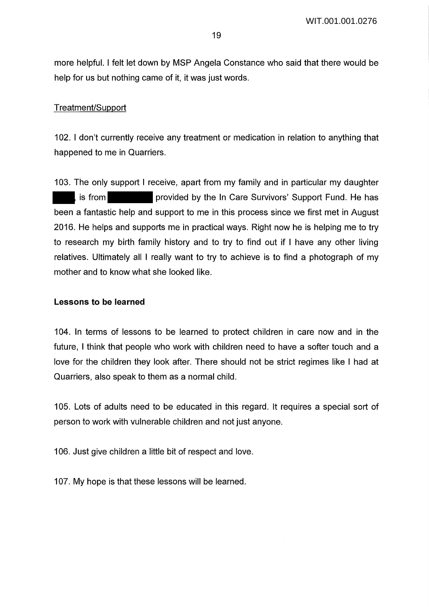more helpful. I felt let down by MSP Angela Constance who said that there would be help for us but nothing came of it, it was just words.

## Treatment/Support

102. I don't currently receive any treatment or medication in relation to anything that happened to me in Quarriers.

103. The only support I receive, apart from my family and in particular my daughter is from provided by the In Care Survivors' Support Fund. He has been a fantastic help and support to me in this process since we first met in August 2016. He helps and supports me in practical ways. Right now he is helping me to try to research my birth family history and to try to find out if I have any other living relatives. Ultimately all I really want to try to achieve is to find a photograph of my mother and to know what she looked like.

### **Lessons to be learned**

104. In terms of lessons to be learned to protect children in care now and in the future, I think that people who work with children need to have a softer touch and a love for the children they look after. There should not be strict regimes like I had at Quarriers, also speak to them as a normal child.

105. Lots of adults need to be educated in this regard. It requires a special sort of person to work with vulnerable children and not just anyone.

106. Just give children a little bit of respect and love.

107. My hope is that these lessons will be learned.